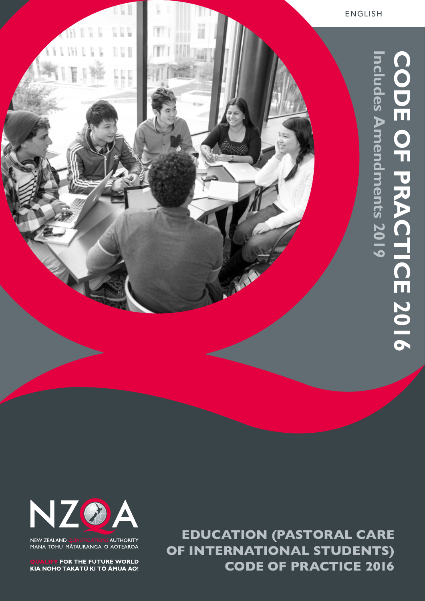



NEW ZEALAND AUTHORITY MANA TOHU MĀTAURANGA O AOTEAROA

FOR THE FUTURE WORLD KIA NOHO TAKATŪ KI TŌ ĀMUA AO!

**EDUCATION (PASTORAL CARE OF INTERNATIONAL STUDENTS) CODE OF PRACTICE 2016**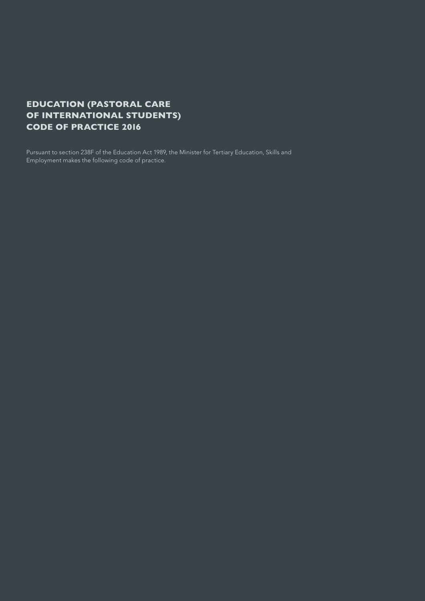## **EDUCATION (PASTORAL CARE OF INTERNATIONAL STUDENTS) CODE OF PRACTICE 2016**

Pursuant to section 238F of the Education Act 1989, the Minister for Tertiary Education, Skills and Employment makes the following code of practice.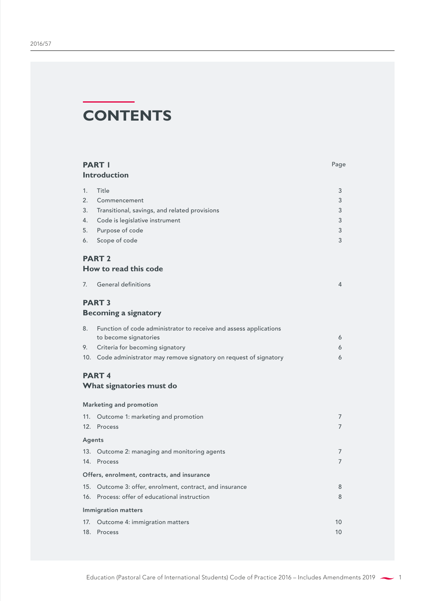# **CONTENTS**

|        | <b>PART I</b><br><b>Introduction</b>                                                       | Page |
|--------|--------------------------------------------------------------------------------------------|------|
| 1.     | Title                                                                                      | 3    |
| 2.     | Commencement                                                                               | 3    |
| 3.     | Transitional, savings, and related provisions                                              | 3    |
| 4.     | Code is legislative instrument                                                             | 3    |
| 5.     | Purpose of code                                                                            | 3    |
| 6.     | Scope of code                                                                              | 3    |
|        | <b>PART 2</b>                                                                              |      |
|        | How to read this code                                                                      |      |
| 7.     | <b>General definitions</b>                                                                 | 4    |
|        | <b>PART 3</b>                                                                              |      |
|        | <b>Becoming a signatory</b>                                                                |      |
| 8.     | Function of code administrator to receive and assess applications<br>to become signatories | 6    |
| 9.     | Criteria for becoming signatory                                                            | 6    |
|        | 10. Code administrator may remove signatory on request of signatory                        | 6    |
|        | <b>PART4</b><br>What signatories must do                                                   |      |
|        | <b>Marketing and promotion</b>                                                             |      |
| 11.    | Outcome 1: marketing and promotion                                                         | 7    |
|        | 12. Process                                                                                | 7    |
| Agents |                                                                                            |      |
| 13.    | Outcome 2: managing and monitoring agents                                                  | 7    |
| 14.    | Process                                                                                    | 7    |
|        | Offers, enrolment, contracts, and insurance                                                |      |
| 15.    | Outcome 3: offer, enrolment, contract, and insurance                                       | 8    |
| 16.    | Process: offer of educational instruction                                                  | 8    |
|        | <b>Immigration matters</b>                                                                 |      |
| 17.    | Outcome 4: immigration matters                                                             | 10   |
| 18.    | Process                                                                                    | 10   |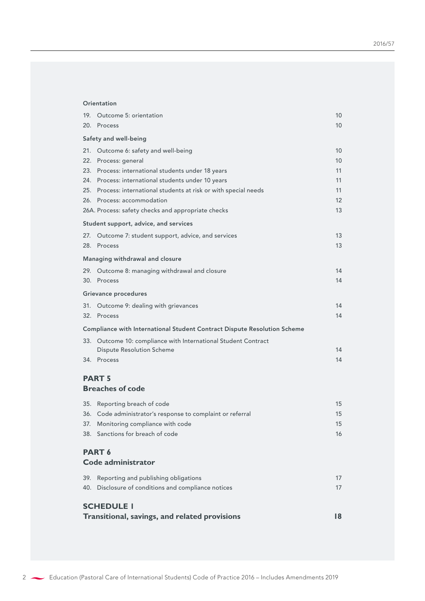#### **[Orientation](#page-11-0)**

|     | 19. Outcome 5: orientation                                               | 10 |
|-----|--------------------------------------------------------------------------|----|
|     | 20. Process                                                              | 10 |
|     | Safety and well-being                                                    |    |
|     | 21. Outcome 6: safety and well-being                                     | 10 |
|     | 22. Process: general                                                     | 10 |
|     | 23. Process: international students under 18 years                       | 11 |
|     | 24. Process: international students under 10 years                       | 11 |
|     | 25. Process: international students at risk or with special needs        | 11 |
|     | 26. Process: accommodation                                               | 12 |
|     | 26A. Process: safety checks and appropriate checks                       | 13 |
|     | Student support, advice, and services                                    |    |
|     | 27. Outcome 7: student support, advice, and services                     | 13 |
|     | 28. Process                                                              | 13 |
|     | Managing withdrawal and closure                                          |    |
|     | 29. Outcome 8: managing withdrawal and closure                           | 14 |
|     | 30. Process                                                              | 14 |
|     | Grievance procedures                                                     |    |
|     | 31. Outcome 9: dealing with grievances                                   | 14 |
|     | 32. Process                                                              | 14 |
|     | Compliance with International Student Contract Dispute Resolution Scheme |    |
|     | 33. Outcome 10: compliance with International Student Contract           |    |
|     | <b>Dispute Resolution Scheme</b>                                         | 14 |
|     | 34. Process                                                              | 14 |
|     | <b>PART 5</b>                                                            |    |
|     | <b>Breaches of code</b>                                                  |    |
|     | 35. Reporting breach of code                                             | 15 |
|     | 36. Code administrator's response to complaint or referral               | 15 |
| 37. | Monitoring compliance with code                                          | 15 |
|     | 38. Sanctions for breach of code                                         | 16 |
|     | PART <sub>6</sub>                                                        |    |
|     | Code administrator                                                       |    |
| 39. | Reporting and publishing obligations                                     | 17 |
|     | 40. Disclosure of conditions and compliance notices                      | 17 |
|     |                                                                          |    |
|     | <b>SCHEDULE I</b>                                                        |    |
|     | Transitional, savings, and related provisions                            | 18 |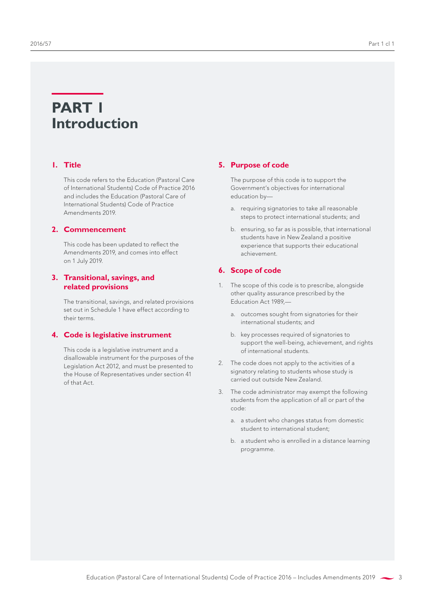## <span id="page-4-0"></span>**PART 1 Introduction**

## **1. Title**

This code refers to the Education (Pastoral Care of International Students) Code of Practice 2016 and includes the Education (Pastoral Care of International Students) Code of Practice Amendments 2019.

## **2. Commencement**

This code has been updated to reflect the Amendments 2019, and comes into effect on 1 July 2019.

## **3. Transitional, savings, and related provisions**

The transitional, savings, and related provisions set out in Schedule 1 have effect according to their terms.

#### **4. Code is legislative instrument**

This code is a legislative instrument and a disallowable instrument for the purposes of the Legislation Act 2012, and must be presented to the House of Representatives under section 41 of that Act.

#### **5. Purpose of code**

The purpose of this code is to support the Government's objectives for international education by—

- a. requiring signatories to take all reasonable steps to protect international students; and
- b. ensuring, so far as is possible, that international students have in New Zealand a positive experience that supports their educational achievement.

## **6. Scope of code**

- 1. The scope of this code is to prescribe, alongside other quality assurance prescribed by the Education Act 1989,
	- a. outcomes sought from signatories for their international students; and
	- b. key processes required of signatories to support the well-being, achievement, and rights of international students.
- 2. The code does not apply to the activities of a signatory relating to students whose study is carried out outside New Zealand.
- 3. The code administrator may exempt the following students from the application of all or part of the code:
	- a. a student who changes status from domestic student to international student;
	- b. a student who is enrolled in a distance learning programme.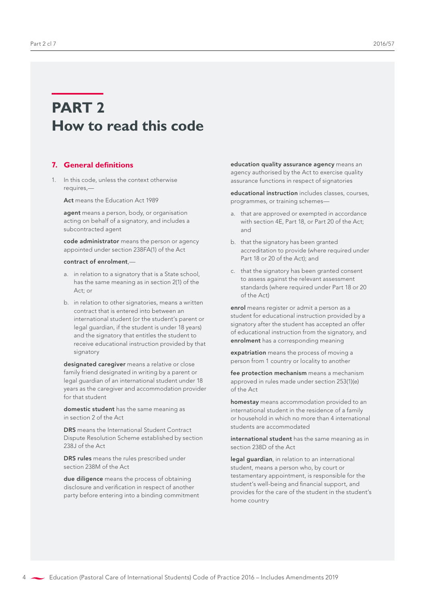## <span id="page-5-0"></span>**PART 2 How to read this code**

## **7. General definitions**

1. In this code, unless the context otherwise requires,—

Act means the Education Act 1989

agent means a person, body, or organisation acting on behalf of a signatory, and includes a subcontracted agent

code administrator means the person or agency appointed under section 238FA(1) of the Act

#### contract of enrolment,—

- a. in relation to a signatory that is a State school, has the same meaning as in section 2(1) of the Act; or
- b. in relation to other signatories, means a written contract that is entered into between an international student (or the student's parent or legal guardian, if the student is under 18 years) and the signatory that entitles the student to receive educational instruction provided by that signatory

designated caregiver means a relative or close family friend designated in writing by a parent or legal guardian of an international student under 18 years as the caregiver and accommodation provider for that student

domestic student has the same meaning as in section 2 of the Act

DRS means the International Student Contract Dispute Resolution Scheme established by section 238J of the Act

DRS rules means the rules prescribed under section 238M of the Act

due diligence means the process of obtaining disclosure and verification in respect of another party before entering into a binding commitment education quality assurance agency means an agency authorised by the Act to exercise quality assurance functions in respect of signatories

educational instruction includes classes, courses, programmes, or training schemes—

- a. that are approved or exempted in accordance with section 4E, Part 18, or Part 20 of the Act; and
- b. that the signatory has been granted accreditation to provide (where required under Part 18 or 20 of the Act); and
- c. that the signatory has been granted consent to assess against the relevant assessment standards (where required under Part 18 or 20 of the Act)

enrol means register or admit a person as a student for educational instruction provided by a signatory after the student has accepted an offer of educational instruction from the signatory, and enrolment has a corresponding meaning

expatriation means the process of moving a person from 1 country or locality to another

fee protection mechanism means a mechanism approved in rules made under section 253(1)(e) of the Act

homestay means accommodation provided to an international student in the residence of a family or household in which no more than 4 international students are accommodated

international student has the same meaning as in section 238D of the Act

legal guardian, in relation to an international student, means a person who, by court or testamentary appointment, is responsible for the student's well-being and financial support, and provides for the care of the student in the student's home country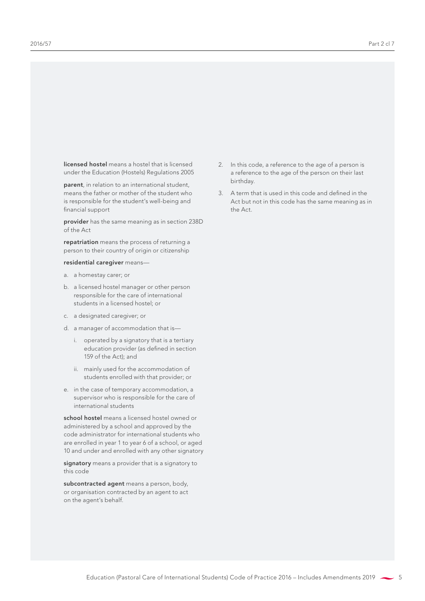licensed hostel means a hostel that is licensed under the Education (Hostels) Regulations 2005

parent, in relation to an international student, means the father or mother of the student who is responsible for the student's well-being and financial support

provider has the same meaning as in section 238D of the Act

repatriation means the process of returning a person to their country of origin or citizenship

residential caregiver means—

- a. a homestay carer; or
- b. a licensed hostel manager or other person responsible for the care of international students in a licensed hostel; or
- c. a designated caregiver; or
- d. a manager of accommodation that is
	- i. operated by a signatory that is a tertiary education provider (as defined in section 159 of the Act); and
	- ii. mainly used for the accommodation of students enrolled with that provider; or
- e. in the case of temporary accommodation, a supervisor who is responsible for the care of international students

school hostel means a licensed hostel owned or administered by a school and approved by the code administrator for international students who are enrolled in year 1 to year 6 of a school, or aged 10 and under and enrolled with any other signatory

signatory means a provider that is a signatory to this code

subcontracted agent means a person, body, or organisation contracted by an agent to act on the agent's behalf.

- 2. In this code, a reference to the age of a person is a reference to the age of the person on their last birthday.
- 3. A term that is used in this code and defined in the Act but not in this code has the same meaning as in the Act.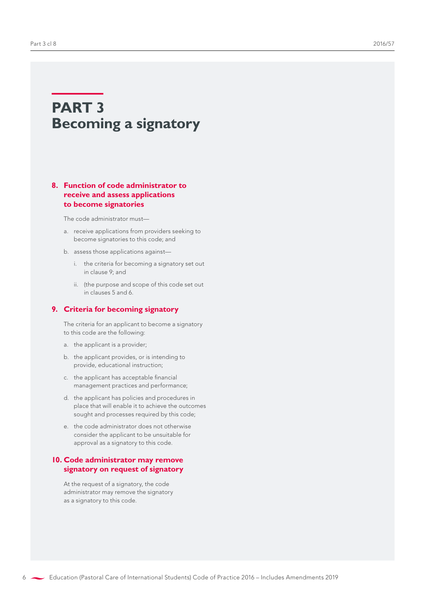## <span id="page-7-0"></span>**PART 3 Becoming a signatory**

## **8. Function of code administrator to receive and assess applications to become signatories**

The code administrator must—

- a. receive applications from providers seeking to become signatories to this code; and
- b. assess those applications against
	- i. the criteria for becoming a signatory set out in clause 9; and
	- ii. (the purpose and scope of this code set out in clauses 5 and 6.

### **9. Criteria for becoming signatory**

The criteria for an applicant to become a signatory to this code are the following:

- a. the applicant is a provider;
- b. the applicant provides, or is intending to provide, educational instruction;
- c. the applicant has acceptable financial management practices and performance;
- d. the applicant has policies and procedures in place that will enable it to achieve the outcomes sought and processes required by this code;
- e. the code administrator does not otherwise consider the applicant to be unsuitable for approval as a signatory to this code.

## **10. Code administrator may remove signatory on request of signatory**

At the request of a signatory, the code administrator may remove the signatory as a signatory to this code.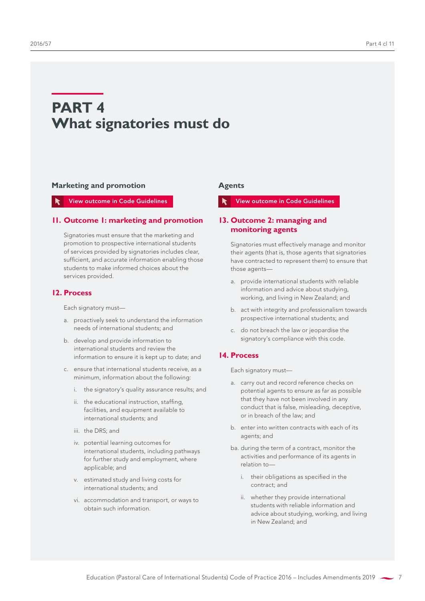## <span id="page-8-0"></span>**PART 4 What signatories must do**

#### **Marketing and promotion**

#### View outcome in Code Guidelines

#### **11. Outcome 1: marketing and promotion**

Signatories must ensure that the marketing and promotion to prospective international students of services provided by signatories includes clear, sufficient, and accurate information enabling those students to make informed choices about the services provided.

#### **12. Process**

Each signatory must—

- a. proactively seek to understand the information needs of international students; and
- b. develop and provide information to international students and review the information to ensure it is kept up to date; and
- c. ensure that international students receive, as a minimum, information about the following:
	- i. the signatory's quality assurance results; and
	- ii. the educational instruction, staffing, facilities, and equipment available to international students; and
	- iii. the DRS; and
	- iv. potential learning outcomes for international students, including pathways for further study and employment, where applicable; and
	- v. estimated study and living costs for international students; and
	- vi. accommodation and transport, or ways to obtain such information.

#### **Agents**

#### View outcome in Code Guidelines

## **13. Outcome 2: managing and monitoring agents**

Signatories must effectively manage and monitor their agents (that is, those agents that signatories have contracted to represent them) to ensure that those agents—

- a. provide international students with reliable information and advice about studying, working, and living in New Zealand; and
- b. act with integrity and professionalism towards prospective international students; and
- c. do not breach the law or jeopardise the signatory's compliance with this code.

#### **14. Process**

Each signatory must—

- a. carry out and record reference checks on potential agents to ensure as far as possible that they have not been involved in any conduct that is false, misleading, deceptive, or in breach of the law; and
- b. enter into written contracts with each of its agents; and
- ba. during the term of a contract, monitor the activities and performance of its agents in relation to
	- i. their obligations as specified in the contract; and
	- ii. whether they provide international students with reliable information and advice about studying, working, and living in New Zealand; and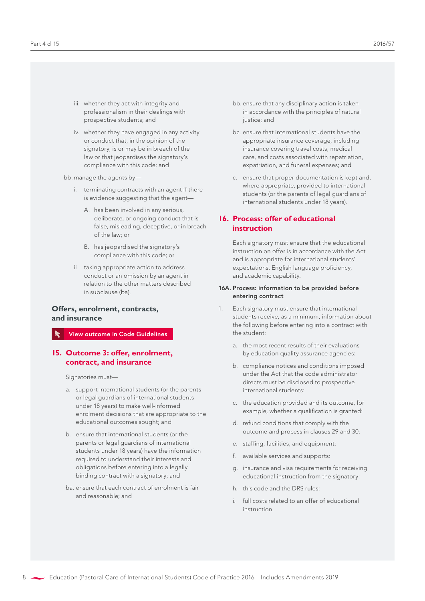- <span id="page-9-0"></span>iii. whether they act with integrity and professionalism in their dealings with prospective students; and
- iv. whether they have engaged in any activity or conduct that, in the opinion of the signatory, is or may be in breach of the law or that jeopardises the signatory's compliance with this code; and

bb. manage the agents by—

- i. terminating contracts with an agent if there is evidence suggesting that the agent—
	- A. has been involved in any serious, deliberate, or ongoing conduct that is false, misleading, deceptive, or in breach of the law; or
	- B. has jeopardised the signatory's compliance with this code; or
- ii taking appropriate action to address conduct or an omission by an agent in relation to the other matters described in subclause (ba).

## **Offers, enrolment, contracts, and insurance**

View outcome in Code Guidelines

#### **15. Outcome 3: offer, enrolment, contract, and insurance**

Signatories must—

- a. support international students (or the parents or legal guardians of international students under 18 years) to make well-informed enrolment decisions that are appropriate to the educational outcomes sought; and
- b. ensure that international students (or the parents or legal guardians of international students under 18 years) have the information required to understand their interests and obligations before entering into a legally binding contract with a signatory; and
- ba. ensure that each contract of enrolment is fair and reasonable; and
- bb. ensure that any disciplinary action is taken in accordance with the principles of natural justice; and
- bc. ensure that international students have the appropriate insurance coverage, including insurance covering travel costs, medical care, and costs associated with repatriation, expatriation, and funeral expenses; and
- c. ensure that proper documentation is kept and, where appropriate, provided to international students (or the parents of legal guardians of international students under 18 years).

## **16. Process: offer of educational instruction**

Each signatory must ensure that the educational instruction on offer is in accordance with the Act and is appropriate for international students' expectations, English language proficiency, and academic capability.

#### 16A. Process: information to be provided before entering contract

- 1. Each signatory must ensure that international students receive, as a minimum, information about the following before entering into a contract with the student:
	- a. the most recent results of their evaluations by education quality assurance agencies:
	- b. compliance notices and conditions imposed under the Act that the code administrator directs must be disclosed to prospective international students:
	- c. the education provided and its outcome, for example, whether a qualification is granted:
	- d. refund conditions that comply with the outcome and process in clauses 29 and 30:
	- e. staffing, facilities, and equipment:
	- f. available services and supports:
	- g. insurance and visa requirements for receiving educational instruction from the signatory:
	- h. this code and the DRS rules:
	- i. full costs related to an offer of educational instruction.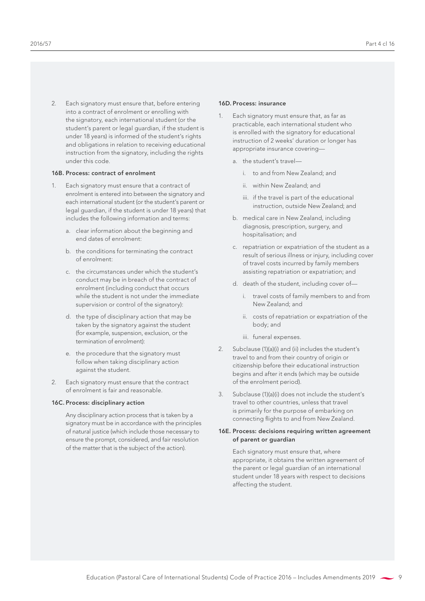2. Each signatory must ensure that, before entering into a contract of enrolment or enrolling with the signatory, each international student (or the student's parent or legal guardian, if the student is under 18 years) is informed of the student's rights and obligations in relation to receiving educational

#### 16B. Process: contract of enrolment

under this code.

1. Each signatory must ensure that a contract of enrolment is entered into between the signatory and each international student (or the student's parent or legal guardian, if the student is under 18 years) that includes the following information and terms:

instruction from the signatory, including the rights

- a. clear information about the beginning and end dates of enrolment:
- b. the conditions for terminating the contract of enrolment:
- c. the circumstances under which the student's conduct may be in breach of the contract of enrolment (including conduct that occurs while the student is not under the immediate supervision or control of the signatory):
- d. the type of disciplinary action that may be taken by the signatory against the student (for example, suspension, exclusion, or the termination of enrolment):
- e. the procedure that the signatory must follow when taking disciplinary action against the student.
- 2. Each signatory must ensure that the contract of enrolment is fair and reasonable.

#### 16C. Process: disciplinary action

Any disciplinary action process that is taken by a signatory must be in accordance with the principles of natural justice (which include those necessary to ensure the prompt, considered, and fair resolution of the matter that is the subject of the action).

#### 16D. Process: insurance

- Each signatory must ensure that, as far as practicable, each international student who is enrolled with the signatory for educational instruction of 2 weeks' duration or longer has appropriate insurance covering
	- a. the student's travel
		- i. to and from New Zealand; and
		- ii. within New Zealand; and
		- iii. if the travel is part of the educational instruction, outside New Zealand; and
	- b. medical care in New Zealand, including diagnosis, prescription, surgery, and hospitalisation; and
	- c. repatriation or expatriation of the student as a result of serious illness or injury, including cover of travel costs incurred by family members assisting repatriation or expatriation; and
	- d. death of the student, including cover of
		- i. travel costs of family members to and from New Zealand; and
		- ii. costs of repatriation or expatriation of the body; and
		- iii. funeral expenses.
- 2. Subclause (1)(a)(i) and (ii) includes the student's travel to and from their country of origin or citizenship before their educational instruction begins and after it ends (which may be outside of the enrolment period).
- 3. Subclause (1)(a)(i) does not include the student's travel to other countries, unless that travel is primarily for the purpose of embarking on connecting flights to and from New Zealand.

#### 16E. Process: decisions requiring written agreement of parent or guardian

Each signatory must ensure that, where appropriate, it obtains the written agreement of the parent or legal guardian of an international student under 18 years with respect to decisions affecting the student.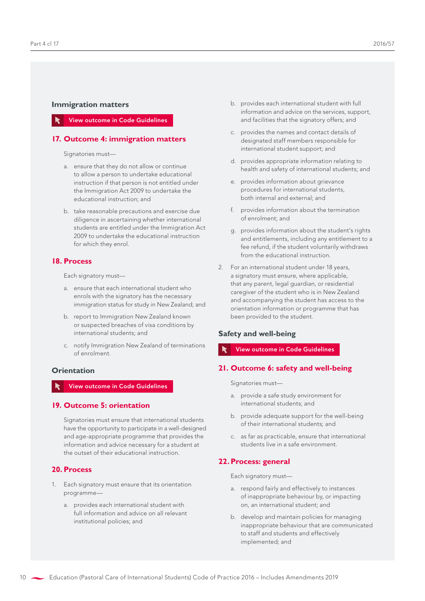## <span id="page-11-0"></span>**Immigration matters**

#### View outcome in Code Guidelines

#### **17. Outcome 4: immigration matters**

Signatories must—

- a. ensure that they do not allow or continue to allow a person to undertake educational instruction if that person is not entitled under the Immigration Act 2009 to undertake the educational instruction; and
- b. take reasonable precautions and exercise due diligence in ascertaining whether international students are entitled under the Immigration Act 2009 to undertake the educational instruction for which they enrol.

#### **18. Process**

Each signatory must—

- a. ensure that each international student who enrols with the signatory has the necessary immigration status for study in New Zealand; and
- b. report to Immigration New Zealand known or suspected breaches of visa conditions by international students; and
- c. notify Immigration New Zealand of terminations of enrolment.

#### **Orientation**

## View outcome in Code Guidelines

#### **19. Outcome 5: orientation**

Signatories must ensure that international students have the opportunity to participate in a well-designed and age-appropriate programme that provides the information and advice necessary for a student at the outset of their educational instruction.

#### **20. Process**

- 1. Each signatory must ensure that its orientation programme
	- a. provides each international student with full information and advice on all relevant institutional policies; and
- b. provides each international student with full information and advice on the services, support, and facilities that the signatory offers; and
- c. provides the names and contact details of designated staff members responsible for international student support; and
- d. provides appropriate information relating to health and safety of international students; and
- e. provides information about grievance procedures for international students, both internal and external; and
- f. provides information about the termination of enrolment; and
- g. provides information about the student's rights and entitlements, including any entitlement to a fee refund, if the student voluntarily withdraws from the educational instruction.
- 2. For an international student under 18 years, a signatory must ensure, where applicable, that any parent, legal guardian, or residential caregiver of the student who is in New Zealand and accompanying the student has access to the orientation information or programme that has been provided to the student.

## **Safety and well-being**

#### View outcome in Code Guidelines

#### **21. Outcome 6: safety and well-being**

Signatories must—

- a. provide a safe study environment for international students; and
- b. provide adequate support for the well-being of their international students; and
- c. as far as practicable, ensure that international students live in a safe environment.

#### **22.Process: general**

Each signatory must—

- a. respond fairly and effectively to instances of inappropriate behaviour by, or impacting on, an international student; and
- b. develop and maintain policies for managing inappropriate behaviour that are communicated to staff and students and effectively implemented; and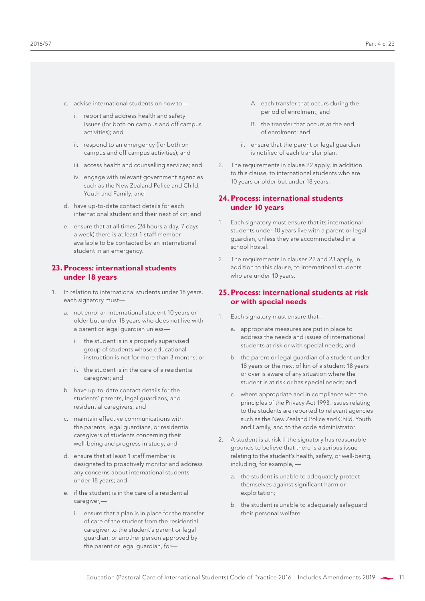- <span id="page-12-0"></span>c. advise international students on how to
	- i. report and address health and safety issues (for both on campus and off campus activities); and
	- ii. respond to an emergency (for both on campus and off campus activities); and
	- iii. access health and counselling services; and
	- iv. engage with relevant government agencies such as the New Zealand Police and Child, Youth and Family; and
- d. have up-to-date contact details for each international student and their next of kin; and
- e. ensure that at all times (24 hours a day, 7 days a week) there is at least 1 staff member available to be contacted by an international student in an emergency.

## **23. Process: international students under 18 years**

- 1. In relation to international students under 18 years, each signatory must
	- a. not enrol an international student 10 years or older but under 18 years who does not live with a parent or legal guardian unless
		- i. the student is in a properly supervised group of students whose educational instruction is not for more than 3 months; or
		- ii. the student is in the care of a residential caregiver; and
	- b. have up-to-date contact details for the students' parents, legal guardians, and residential caregivers; and
	- c. maintain effective communications with the parents, legal guardians, or residential caregivers of students concerning their well-being and progress in study; and
	- d. ensure that at least 1 staff member is designated to proactively monitor and address any concerns about international students under 18 years; and
	- e. if the student is in the care of a residential caregiver,
		- i. ensure that a plan is in place for the transfer of care of the student from the residential caregiver to the student's parent or legal guardian, or another person approved by the parent or legal guardian, for—
- A. each transfer that occurs during the period of enrolment; and
- B. the transfer that occurs at the end of enrolment; and
- ii. ensure that the parent or legal guardian is notified of each transfer plan.
- 2. The requirements in clause 22 apply, in addition to this clause, to international students who are 10 years or older but under 18 years.

## **24. Process: international students under 10 years**

- 1. Each signatory must ensure that its international students under 10 years live with a parent or legal guardian, unless they are accommodated in a school hostel.
- 2. The requirements in clauses 22 and 23 apply, in addition to this clause, to international students who are under 10 years.

## **25. Process: international students at risk or with special needs**

- 1. Each signatory must ensure that
	- a. appropriate measures are put in place to address the needs and issues of international students at risk or with special needs; and
	- b. the parent or legal guardian of a student under 18 years or the next of kin of a student 18 years or over is aware of any situation where the student is at risk or has special needs; and
	- c. where appropriate and in compliance with the principles of the Privacy Act 1993, issues relating to the students are reported to relevant agencies such as the New Zealand Police and Child, Youth and Family, and to the code administrator.
- 2. A student is at risk if the signatory has reasonable grounds to believe that there is a serious issue relating to the student's health, safety, or well-being, including, for example,
	- a. the student is unable to adequately protect themselves against significant harm or exploitation;
	- b. the student is unable to adequately safeguard their personal welfare.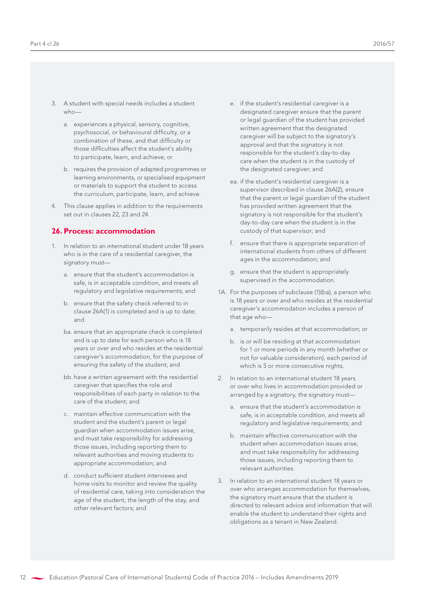- <span id="page-13-0"></span>3. A student with special needs includes a student who
	- a. experiences a physical, sensory, cognitive, psychosocial, or behavioural difficulty, or a combination of these, and that difficulty or those difficulties affect the student's ability to participate, learn, and achieve; or
	- b. requires the provision of adapted programmes or learning environments, or specialised equipment or materials to support the student to access the curriculum, participate, learn, and achieve.
- 4. This clause applies in addition to the requirements set out in clauses 22, 23 and 24.

## **26. Process: accommodation**

- 1. In relation to an international student under 18 years who is in the care of a residential caregiver, the signatory must
	- a. ensure that the student's accommodation is safe, is in acceptable condition, and meets all regulatory and legislative requirements; and
	- b. ensure that the safety check referred to in clause 26A(1) is completed and is up to date; and
	- ba. ensure that an appropriate check is completed and is up to date for each person who is 18 years or over and who resides at the residential caregiver's accommodation, for the purpose of ensuring the safety of the student; and
	- bb. have a written agreement with the residential caregiver that specifies the role and responsibilities of each party in relation to the care of the student; and
	- c. maintain effective communication with the student and the student's parent or legal guardian when accommodation issues arise, and must take responsibility for addressing those issues, including reporting them to relevant authorities and moving students to appropriate accommodation; and
	- d. conduct sufficient student interviews and home visits to monitor and review the quality of residential care, taking into consideration the age of the student, the length of the stay, and other relevant factors; and
- e. if the student's residential caregiver is a designated caregiver ensure that the parent or legal guardian of the student has provided written agreement that the designated caregiver will be subject to the signatory's approval and that the signatory is not responsible for the student's day-to-day care when the student is in the custody of the designated caregiver; and
- ea. if the student's residential caregiver is a supervisor described in clause 26A(2), ensure that the parent or legal guardian of the student has provided written agreement that the signatory is not responsible for the student's day-to-day care when the student is in the custody of that supervisor; and
- f. ensure that there is appropriate separation of international students from others of different ages in the accommodation; and
- g. ensure that the student is appropriately supervised in the accommodation.
- 1A. For the purposes of subclause (1)(ba), a person who is 18 years or over and who resides at the residential caregiver's accommodation includes a person of that age who
	- a. temporarily resides at that accommodation; or
	- b. is or will be residing at that accommodation for 1 or more periods in any month (whether or not for valuable consideration), each period of which is 5 or more consecutive nights.
- 2. In relation to an international student 18 years or over who lives in accommodation provided or arranged by a signatory, the signatory must
	- a. ensure that the student's accommodation is safe, is in acceptable condition, and meets all regulatory and legislative requirements; and
	- b. maintain effective communication with the student when accommodation issues arise, and must take responsibility for addressing those issues, including reporting them to relevant authorities.
- 3. In relation to an international student 18 years or over who arranges accommodation for themselves, the signatory must ensure that the student is directed to relevant advice and information that will enable the student to understand their rights and obligations as a tenant in New Zealand.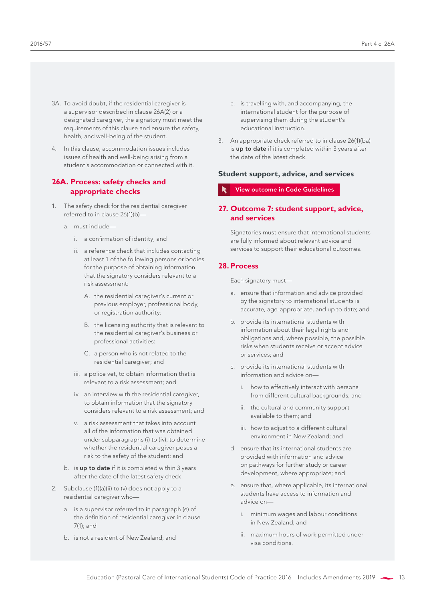- <span id="page-14-0"></span>3A. To avoid doubt, if the residential caregiver is a supervisor described in clause 26A(2) or a designated caregiver, the signatory must meet the requirements of this clause and ensure the safety, health, and well-being of the student.
- 4. In this clause, accommodation issues includes issues of health and well-being arising from a student's accommodation or connected with it.

### **26A. Process: safety checks and appropriate checks**

- 1. The safety check for the residential caregiver referred to in clause 26(1)(b)
	- a. must include
		- i. a confirmation of identity; and
		- ii. a reference check that includes contacting at least 1 of the following persons or bodies for the purpose of obtaining information that the signatory considers relevant to a risk assessment:
			- A. the residential caregiver's current or previous employer, professional body, or registration authority:
			- B. the licensing authority that is relevant to the residential caregiver's business or professional activities:
			- C. a person who is not related to the residential caregiver; and
		- iii. a police vet, to obtain information that is relevant to a risk assessment; and
		- iv. an interview with the residential caregiver, to obtain information that the signatory considers relevant to a risk assessment; and
		- v. a risk assessment that takes into account all of the information that was obtained under subparagraphs (i) to (iv), to determine whether the residential caregiver poses a risk to the safety of the student; and
	- b. is up to date if it is completed within 3 years after the date of the latest safety check.
- 2. Subclause (1)(a)(ii) to (v) does not apply to a residential caregiver who
	- a. is a supervisor referred to in paragraph (e) of the definition of residential caregiver in clause 7(1); and
	- b. is not a resident of New Zealand; and
- c. is travelling with, and accompanying, the international student for the purpose of supervising them during the student's educational instruction.
- 3. An appropriate check referred to in clause 26(1)(ba) is up to date if it is completed within 3 years after the date of the latest check.

#### **Student support, advice, and services**

View outcome in Code Guidelines

## **27. Outcome 7: student support, advice, and services**

Signatories must ensure that international students are fully informed about relevant advice and services to support their educational outcomes.

#### **28.Process**

Each signatory must-

- a. ensure that information and advice provided by the signatory to international students is accurate, age-appropriate, and up to date; and
- b. provide its international students with information about their legal rights and obligations and, where possible, the possible risks when students receive or accept advice or services; and
- c. provide its international students with information and advice on
	- i. how to effectively interact with persons from different cultural backgrounds; and
	- ii. the cultural and community support available to them; and
	- iii. how to adjust to a different cultural environment in New Zealand; and
- d. ensure that its international students are provided with information and advice on pathways for further study or career development, where appropriate; and
- e. ensure that, where applicable, its international students have access to information and advice on
	- i. minimum wages and labour conditions in New Zealand; and
	- ii. maximum hours of work permitted under visa conditions.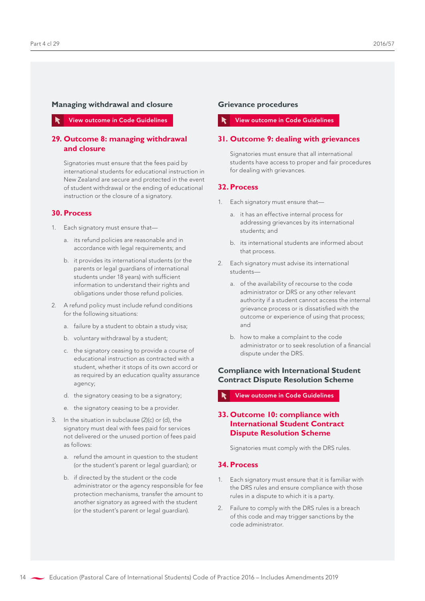#### <span id="page-15-0"></span>**Managing withdrawal and closure**

View outcome in Code Guidelines

### **29. Outcome 8: managing withdrawal and closure**

Signatories must ensure that the fees paid by international students for educational instruction in New Zealand are secure and protected in the event of student withdrawal or the ending of educational instruction or the closure of a signatory.

## **30. Process**

- 1. Each signatory must ensure that
	- a. its refund policies are reasonable and in accordance with legal requirements; and
	- b. it provides its international students (or the parents or legal guardians of international students under 18 years) with sufficient information to understand their rights and obligations under those refund policies.
- 2. A refund policy must include refund conditions for the following situations:
	- a. failure by a student to obtain a study visa;
	- b. voluntary withdrawal by a student;
	- c. the signatory ceasing to provide a course of educational instruction as contracted with a student, whether it stops of its own accord or as required by an education quality assurance agency;
	- d. the signatory ceasing to be a signatory;
	- e. the signatory ceasing to be a provider.
- 3. In the situation in subclause (2)(c) or (d), the signatory must deal with fees paid for services not delivered or the unused portion of fees paid as follows:
	- a. refund the amount in question to the student (or the student's parent or legal guardian); or
	- b. if directed by the student or the code administrator or the agency responsible for fee protection mechanisms, transfer the amount to another signatory as agreed with the student (or the student's parent or legal guardian).

### **Grievance procedures**

### View outcome in Code Guidelines

#### **31. Outcome 9: dealing with grievances**

Signatories must ensure that all international students have access to proper and fair procedures for dealing with grievances.

#### **32. Process**

- 1. Each signatory must ensure that
	- a. it has an effective internal process for addressing grievances by its international students; and
	- b. its international students are informed about that process.
- 2. Each signatory must advise its international students
	- a. of the availability of recourse to the code administrator or DRS or any other relevant authority if a student cannot access the internal grievance process or is dissatisfied with the outcome or experience of using that process; and
	- b. how to make a complaint to the code administrator or to seek resolution of a financial dispute under the DRS.

## **Compliance with International Student Contract Dispute Resolution Scheme**

View outcome in Code Guidelines

## **33. Outcome 10: compliance with International Student Contract Dispute Resolution Scheme**

Signatories must comply with the DRS rules.

#### **34. Process**

- 1. Each signatory must ensure that it is familiar with the DRS rules and ensure compliance with those rules in a dispute to which it is a party.
- Failure to comply with the DRS rules is a breach of this code and may trigger sanctions by the code administrator.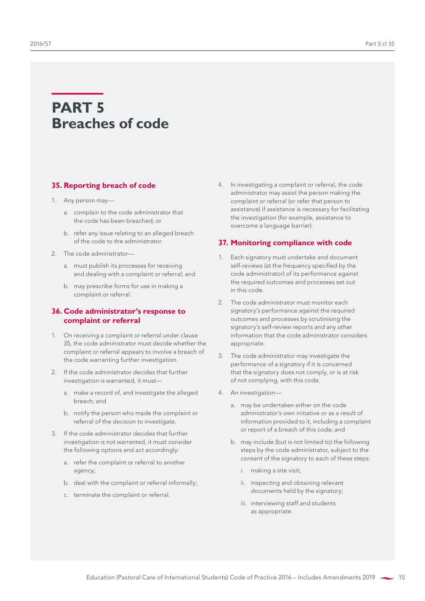## <span id="page-16-0"></span>**PART 5 Breaches of code**

## **35. Reporting breach of code**

- 1. Any person may
	- a. complain to the code administrator that the code has been breached; or
	- b. refer any issue relating to an alleged breach of the code to the administrator.
- 2. The code administrator
	- a. must publish its processes for receiving and dealing with a complaint or referral; and
	- b. may prescribe forms for use in making a complaint or referral.

## **36. Code administrator's response to complaint or referral**

- 1. On receiving a complaint or referral under clause 35, the code administrator must decide whether the complaint or referral appears to involve a breach of the code warranting further investigation.
- 2. If the code administrator decides that further investigation is warranted, it must
	- a. make a record of, and investigate the alleged breach; and
	- b. notify the person who made the complaint or referral of the decision to investigate.
- 3. If the code administrator decides that further investigation is not warranted, it must consider the following options and act accordingly:
	- a. refer the complaint or referral to another agency;
	- b. deal with the complaint or referral informally;
	- c. terminate the complaint or referral.

4. In investigating a complaint or referral, the code administrator may assist the person making the complaint or referral (or refer that person to assistance) if assistance is necessary for facilitating the investigation (for example, assistance to overcome a language barrier).

## **37. Monitoring compliance with code**

- 1. Each signatory must undertake and document self-reviews (at the frequency specified by the code administrator) of its performance against the required outcomes and processes set out in this code.
- 2. The code administrator must monitor each signatory's performance against the required outcomes and processes by scrutinising the signatory's self-review reports and any other information that the code administrator considers appropriate.
- 3. The code administrator may investigate the performance of a signatory if it is concerned that the signatory does not comply, or is at risk of not complying, with this code.
- 4. An investigation
	- a. may be undertaken either on the code administrator's own initiative or as a result of information provided to it, including a complaint or report of a breach of this code; and
	- b. may include (but is not limited to) the following steps by the code administrator, subject to the consent of the signatory to each of these steps:
		- i. making a site visit;
		- ii. inspecting and obtaining relevant documents held by the signatory;
		- iii. interviewing staff and students as appropriate.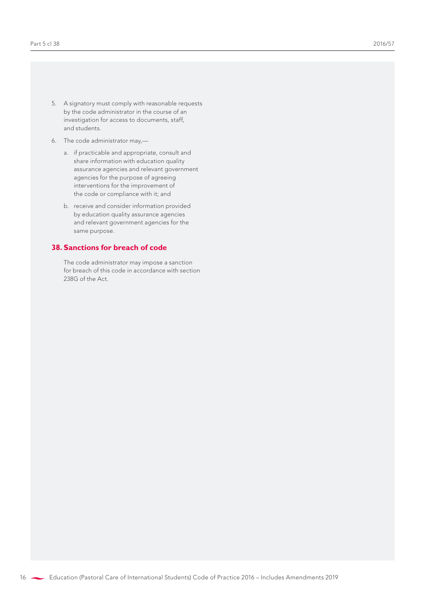- <span id="page-17-0"></span>5. A signatory must comply with reasonable requests by the code administrator in the course of an investigation for access to documents, staff, and students.
- 6. The code administrator may,
	- a. if practicable and appropriate, consult and share information with education quality assurance agencies and relevant government agencies for the purpose of agreeing interventions for the improvement of the code or compliance with it; and
	- b. receive and consider information provided by education quality assurance agencies and relevant government agencies for the same purpose.

## **38. Sanctions for breach of code**

The code administrator may impose a sanction for breach of this code in accordance with section 238G of the Act.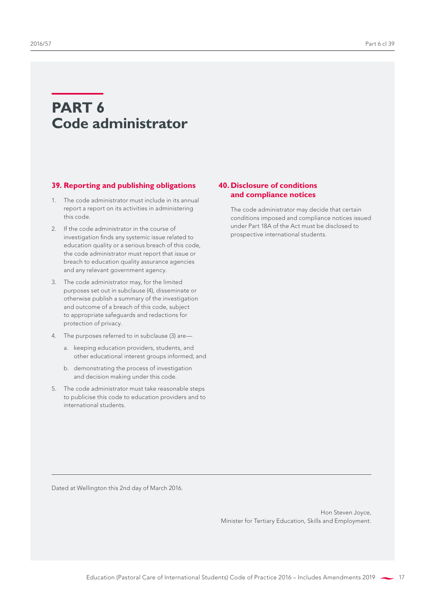## <span id="page-18-0"></span>**PART 6 Code administrator**

#### **39. Reporting and publishing obligations**

- 1. The code administrator must include in its annual report a report on its activities in administering this code.
- 2. If the code administrator in the course of investigation finds any systemic issue related to education quality or a serious breach of this code, the code administrator must report that issue or breach to education quality assurance agencies and any relevant government agency.
- 3. The code administrator may, for the limited purposes set out in subclause (4), disseminate or otherwise publish a summary of the investigation and outcome of a breach of this code, subject to appropriate safeguards and redactions for protection of privacy.
- 4. The purposes referred to in subclause (3) are
	- a. keeping education providers, students, and other educational interest groups informed; and
	- b. demonstrating the process of investigation and decision making under this code.
- 5. The code administrator must take reasonable steps to publicise this code to education providers and to international students.

## **40. Disclosure of conditions and compliance notices**

The code administrator may decide that certain conditions imposed and compliance notices issued under Part 18A of the Act must be disclosed to prospective international students.

Dated at Wellington this 2nd day of March 2016.

Hon Steven Joyce, Minister for Tertiary Education, Skills and Employment.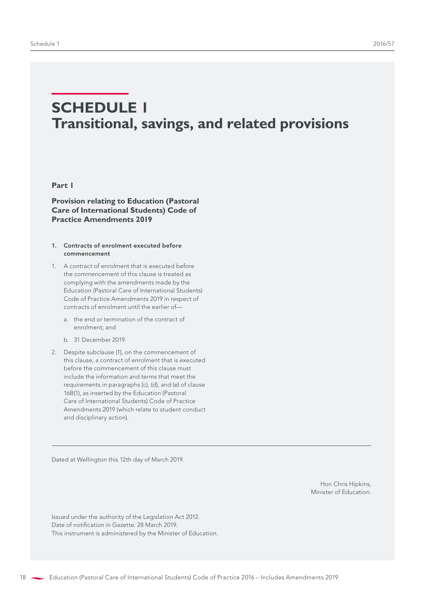## <span id="page-19-0"></span>**SCHEDULE 1 Transitional, savings, and related provisions**

### **Part 1**

**Provision relating to Education (Pastoral Care of International Students) Code of Practice Amendments 2019**

#### 1. Contracts of enrolment executed before commencement

- 1. A contract of enrolment that is executed before the commencement of this clause is treated as complying with the amendments made by the Education (Pastoral Care of International Students) Code of Practice Amendments 2019 in respect of contracts of enrolment until the earlier of
	- a. the end or termination of the contract of enrolment; and
	- b. 31 December 2019.
- 2. Despite subclause (1), on the commencement of this clause, a contract of enrolment that is executed before the commencement of this clause must include the information and terms that meet the requirements in paragraphs (c), (d), and (e) of clause 16B(1), as inserted by the Education (Pastoral Care of International Students) Code of Practice Amendments 2019 (which relate to student conduct and disciplinary action).

Dated at Wellington this 12th day of March 2019.

Hon Chris Hipkins, Minister of Education.

Issued under the authority of the Legislation Act 2012. Date of notification in Gazette: 28 March 2019. This instrument is administered by the Minister of Education.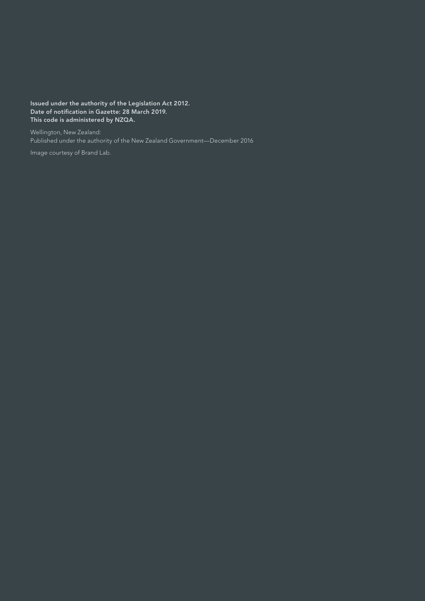Issued under the authority of the Legislation Act 2012. Date of notification in Gazette: 28 March 2019. This code is administered by NZQA.

Wellington, New Zealand: Published under the authority of the New Zealand Government—December 2016

Image courtesy of Brand Lab.